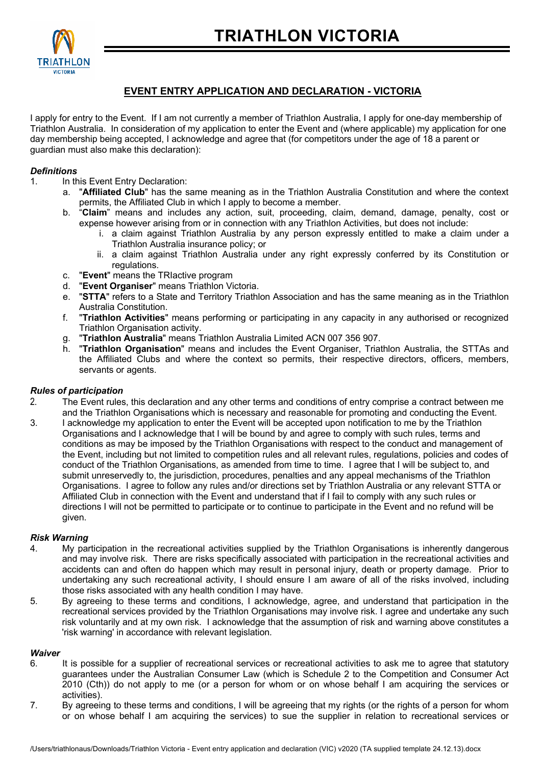

## **EVENT ENTRY APPLICATION AND DECLARATION - VICTORIA**

I apply for entry to the Event. If I am not currently a member of Triathlon Australia, I apply for one-day membership of Triathlon Australia. In consideration of my application to enter the Event and (where applicable) my application for one day membership being accepted, I acknowledge and agree that (for competitors under the age of 18 a parent or guardian must also make this declaration):

## *Definitions*

- 1. In this Event Entry Declaration:
	- a. "**Affiliated Club**" has the same meaning as in the Triathlon Australia Constitution and where the context permits, the Affiliated Club in which I apply to become a member.
	- b. "**Claim**" means and includes any action, suit, proceeding, claim, demand, damage, penalty, cost or expense however arising from or in connection with any Triathlon Activities, but does not include:
		- i. a claim against Triathlon Australia by any person expressly entitled to make a claim under a Triathlon Australia insurance policy; or
		- ii. a claim against Triathlon Australia under any right expressly conferred by its Constitution or regulations.
	- c. "**Event**" means the TRIactive program
	- "Event Organiser" means Triathlon Victoria.
	- e. "**STTA**" refers to a State and Territory Triathlon Association and has the same meaning as in the Triathlon Australia Constitution.
	- f. "**Triathlon Activities**" means performing or participating in any capacity in any authorised or recognized Triathlon Organisation activity.
	- g. "**Triathlon Australia**" means Triathlon Australia Limited ACN 007 356 907.
	- h. "**Triathlon Organisation**" means and includes the Event Organiser, Triathlon Australia, the STTAs and the Affiliated Clubs and where the context so permits, their respective directors, officers, members, servants or agents.

## *Rules of participation*

- 2. The Event rules, this declaration and any other terms and conditions of entry comprise a contract between me and the Triathlon Organisations which is necessary and reasonable for promoting and conducting the Event.
- 3. I acknowledge my application to enter the Event will be accepted upon notification to me by the Triathlon Organisations and I acknowledge that I will be bound by and agree to comply with such rules, terms and conditions as may be imposed by the Triathlon Organisations with respect to the conduct and management of the Event, including but not limited to competition rules and all relevant rules, regulations, policies and codes of conduct of the Triathlon Organisations, as amended from time to time. I agree that I will be subject to, and submit unreservedly to, the jurisdiction, procedures, penalties and any appeal mechanisms of the Triathlon Organisations. I agree to follow any rules and/or directions set by Triathlon Australia or any relevant STTA or Affiliated Club in connection with the Event and understand that if I fail to comply with any such rules or directions I will not be permitted to participate or to continue to participate in the Event and no refund will be given.

## *Risk Warning*

- 4. My participation in the recreational activities supplied by the Triathlon Organisations is inherently dangerous and may involve risk. There are risks specifically associated with participation in the recreational activities and accidents can and often do happen which may result in personal injury, death or property damage. Prior to undertaking any such recreational activity, I should ensure I am aware of all of the risks involved, including those risks associated with any health condition I may have.
- 5. By agreeing to these terms and conditions, I acknowledge, agree, and understand that participation in the recreational services provided by the Triathlon Organisations may involve risk. I agree and undertake any such risk voluntarily and at my own risk. I acknowledge that the assumption of risk and warning above constitutes a 'risk warning' in accordance with relevant legislation*.*

#### *Waiver*

- 6. It is possible for a supplier of recreational services or recreational activities to ask me to agree that statutory guarantees under the Australian Consumer Law (which is Schedule 2 to the Competition and Consumer Act 2010 (Cth)) do not apply to me (or a person for whom or on whose behalf I am acquiring the services or activities).
- 7. By agreeing to these terms and conditions, I will be agreeing that my rights (or the rights of a person for whom or on whose behalf I am acquiring the services) to sue the supplier in relation to recreational services or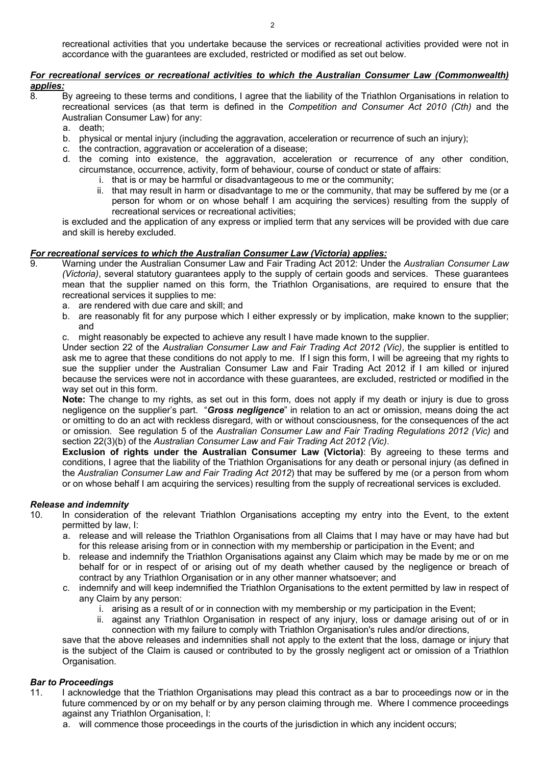recreational activities that you undertake because the services or recreational activities provided were not in accordance with the guarantees are excluded, restricted or modified as set out below.

## *For recreational services or recreational activities to which the Australian Consumer Law (Commonwealth) applies:*

- 8. By agreeing to these terms and conditions, I agree that the liability of the Triathlon Organisations in relation to recreational services (as that term is defined in the *Competition and Consumer Act 2010 (Cth)* and the Australian Consumer Law) for any:
	- a. death;
	- b. physical or mental injury (including the aggravation, acceleration or recurrence of such an injury);
	- c. the contraction, aggravation or acceleration of a disease;
	- d. the coming into existence, the aggravation, acceleration or recurrence of any other condition, circumstance, occurrence, activity, form of behaviour, course of conduct or state of affairs:
		- i. that is or may be harmful or disadvantageous to me or the community;
		- ii. that may result in harm or disadvantage to me or the community, that may be suffered by me (or a person for whom or on whose behalf I am acquiring the services) resulting from the supply of recreational services or recreational activities;

is excluded and the application of any express or implied term that any services will be provided with due care and skill is hereby excluded.

## *For recreational services to which the Australian Consumer Law (Victoria) applies:*

- 9. Warning under the Australian Consumer Law and Fair Trading Act 2012: Under the *Australian Consumer Law (Victoria)*, several statutory guarantees apply to the supply of certain goods and services. These guarantees mean that the supplier named on this form, the Triathlon Organisations, are required to ensure that the recreational services it supplies to me:
	- a. are rendered with due care and skill; and
	- b. are reasonably fit for any purpose which I either expressly or by implication, make known to the supplier; and
	- c. might reasonably be expected to achieve any result I have made known to the supplier.

Under section 22 of the *Australian Consumer Law and Fair Trading Act 2012 (Vic)*, the supplier is entitled to ask me to agree that these conditions do not apply to me. If I sign this form, I will be agreeing that my rights to sue the supplier under the Australian Consumer Law and Fair Trading Act 2012 if I am killed or injured because the services were not in accordance with these guarantees, are excluded, restricted or modified in the way set out in this form.

**Note:** The change to my rights, as set out in this form, does not apply if my death or injury is due to gross negligence on the supplier's part. "*Gross negligence*" in relation to an act or omission, means doing the act or omitting to do an act with reckless disregard, with or without consciousness, for the consequences of the act or omission. See regulation 5 of the *Australian Consumer Law and Fair Trading Regulations 2012 (Vic)* and section 22(3)(b) of the *Australian Consumer Law and Fair Trading Act 2012 (Vic)*.

**Exclusion of rights under the Australian Consumer Law (Victoria)**: By agreeing to these terms and conditions, I agree that the liability of the Triathlon Organisations for any death or personal injury (as defined in the *Australian Consumer Law and Fair Trading Act 2012*) that may be suffered by me (or a person from whom or on whose behalf I am acquiring the services) resulting from the supply of recreational services is excluded.

## *Release and indemnity*

- In consideration of the relevant Triathlon Organisations accepting my entry into the Event, to the extent permitted by law, I:
	- a. release and will release the Triathlon Organisations from all Claims that I may have or may have had but for this release arising from or in connection with my membership or participation in the Event; and
	- b. release and indemnify the Triathlon Organisations against any Claim which may be made by me or on me behalf for or in respect of or arising out of my death whether caused by the negligence or breach of contract by any Triathlon Organisation or in any other manner whatsoever; and
	- c. indemnify and will keep indemnified the Triathlon Organisations to the extent permitted by law in respect of any Claim by any person:
		- i. arising as a result of or in connection with my membership or my participation in the Event;
		- ii. against any Triathlon Organisation in respect of any injury, loss or damage arising out of or in connection with my failure to comply with Triathlon Organisation's rules and/or directions,

save that the above releases and indemnities shall not apply to the extent that the loss, damage or injury that is the subject of the Claim is caused or contributed to by the grossly negligent act or omission of a Triathlon Organisation.

## *Bar to Proceedings*

- 11. I acknowledge that the Triathlon Organisations may plead this contract as a bar to proceedings now or in the future commenced by or on my behalf or by any person claiming through me. Where I commence proceedings against any Triathlon Organisation, I:
	- a. will commence those proceedings in the courts of the jurisdiction in which any incident occurs;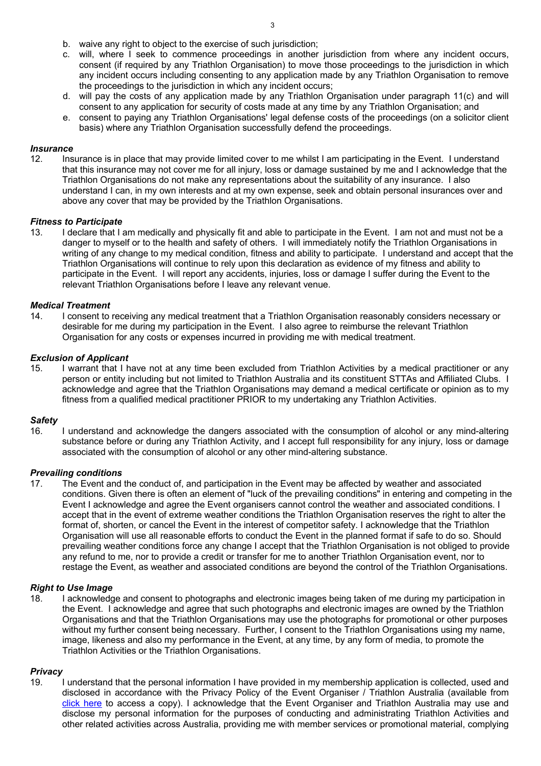- b. waive any right to object to the exercise of such jurisdiction;
- c. will, where I seek to commence proceedings in another jurisdiction from where any incident occurs, consent (if required by any Triathlon Organisation) to move those proceedings to the jurisdiction in which any incident occurs including consenting to any application made by any Triathlon Organisation to remove the proceedings to the jurisdiction in which any incident occurs;
- d. will pay the costs of any application made by any Triathlon Organisation under paragraph 11(c) and will consent to any application for security of costs made at any time by any Triathlon Organisation; and
- e. consent to paying any Triathlon Organisations' legal defense costs of the proceedings (on a solicitor client basis) where any Triathlon Organisation successfully defend the proceedings.

#### *Insurance*

12. Insurance is in place that may provide limited cover to me whilst I am participating in the Event. I understand that this insurance may not cover me for all injury, loss or damage sustained by me and I acknowledge that the Triathlon Organisations do not make any representations about the suitability of any insurance. I also understand I can, in my own interests and at my own expense, seek and obtain personal insurances over and above any cover that may be provided by the Triathlon Organisations.

#### *Fitness to Participate*

13. I declare that I am medically and physically fit and able to participate in the Event. I am not and must not be a danger to myself or to the health and safety of others. I will immediately notify the Triathlon Organisations in writing of any change to my medical condition, fitness and ability to participate. I understand and accept that the Triathlon Organisations will continue to rely upon this declaration as evidence of my fitness and ability to participate in the Event. I will report any accidents, injuries, loss or damage I suffer during the Event to the relevant Triathlon Organisations before I leave any relevant venue.

#### *Medical Treatment*

14. I consent to receiving any medical treatment that a Triathlon Organisation reasonably considers necessary or desirable for me during my participation in the Event. I also agree to reimburse the relevant Triathlon Organisation for any costs or expenses incurred in providing me with medical treatment.

#### *Exclusion of Applicant*

15. I warrant that I have not at any time been excluded from Triathlon Activities by a medical practitioner or any person or entity including but not limited to Triathlon Australia and its constituent STTAs and Affiliated Clubs. I acknowledge and agree that the Triathlon Organisations may demand a medical certificate or opinion as to my fitness from a qualified medical practitioner PRIOR to my undertaking any Triathlon Activities.

#### *Safety*

16. I understand and acknowledge the dangers associated with the consumption of alcohol or any mind-altering substance before or during any Triathlon Activity, and I accept full responsibility for any injury, loss or damage associated with the consumption of alcohol or any other mind-altering substance.

# *Prevailing conditions*

The Event and the conduct of, and participation in the Event may be affected by weather and associated conditions. Given there is often an element of "luck of the prevailing conditions" in entering and competing in the Event I acknowledge and agree the Event organisers cannot control the weather and associated conditions. I accept that in the event of extreme weather conditions the Triathlon Organisation reserves the right to alter the format of, shorten, or cancel the Event in the interest of competitor safety. I acknowledge that the Triathlon Organisation will use all reasonable efforts to conduct the Event in the planned format if safe to do so. Should prevailing weather conditions force any change I accept that the Triathlon Organisation is not obliged to provide any refund to me, nor to provide a credit or transfer for me to another Triathlon Organisation event, nor to restage the Event, as weather and associated conditions are beyond the control of the Triathlon Organisations.

#### *Right to Use Image*

18. I acknowledge and consent to photographs and electronic images being taken of me during my participation in the Event. I acknowledge and agree that such photographs and electronic images are owned by the Triathlon Organisations and that the Triathlon Organisations may use the photographs for promotional or other purposes without my further consent being necessary. Further, I consent to the Triathlon Organisations using my name, image, likeness and also my performance in the Event, at any time, by any form of media, to promote the Triathlon Activities or the Triathlon Organisations.

#### *Privacy*

19. I understand that the personal information I have provided in my membership application is collected, used and disclosed in accordance with the Privacy Policy of the Event Organiser / Triathlon Australia (available from click here to access a copy). I acknowledge that the Event Organiser and Triathlon Australia may use and disclose my personal information for the purposes of conducting and administrating Triathlon Activities and other related activities across Australia, providing me with member services or promotional material, complying